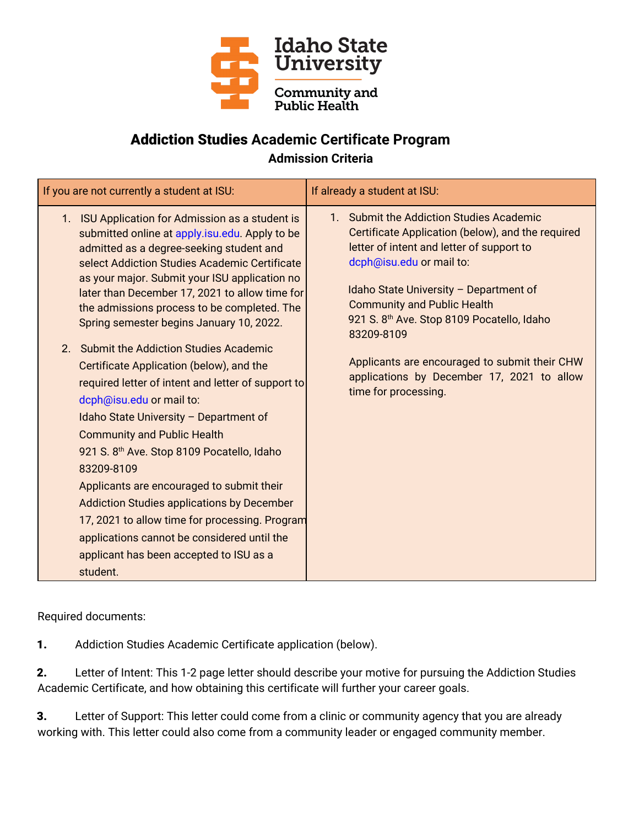

## Addiction Studies **Academic Certificate Program Admission Criteria**

| If you are not currently a student at ISU:                                                                                                                                                                                                                                                                                                                                                                                                                                                                                                                                               | If already a student at ISU:                                                                                                                                                                                                                                                                                                   |
|------------------------------------------------------------------------------------------------------------------------------------------------------------------------------------------------------------------------------------------------------------------------------------------------------------------------------------------------------------------------------------------------------------------------------------------------------------------------------------------------------------------------------------------------------------------------------------------|--------------------------------------------------------------------------------------------------------------------------------------------------------------------------------------------------------------------------------------------------------------------------------------------------------------------------------|
| 1. ISU Application for Admission as a student is<br>submitted online at apply.isu.edu. Apply to be<br>admitted as a degree-seeking student and<br>select Addiction Studies Academic Certificate<br>as your major. Submit your ISU application no<br>later than December 17, 2021 to allow time for<br>the admissions process to be completed. The<br>Spring semester begins January 10, 2022.                                                                                                                                                                                            | 1. Submit the Addiction Studies Academic<br>Certificate Application (below), and the required<br>letter of intent and letter of support to<br>dcph@isu.edu or mail to:<br>Idaho State University - Department of<br><b>Community and Public Health</b><br>921 S. 8 <sup>th</sup> Ave. Stop 8109 Pocatello, Idaho<br>83209-8109 |
| 2. Submit the Addiction Studies Academic<br>Certificate Application (below), and the<br>required letter of intent and letter of support to<br>dcph@isu.edu or mail to:<br>Idaho State University - Department of<br><b>Community and Public Health</b><br>921 S. 8 <sup>th</sup> Ave. Stop 8109 Pocatello, Idaho<br>83209-8109<br>Applicants are encouraged to submit their<br><b>Addiction Studies applications by December</b><br>17, 2021 to allow time for processing. Program<br>applications cannot be considered until the<br>applicant has been accepted to ISU as a<br>student. | Applicants are encouraged to submit their CHW<br>applications by December 17, 2021 to allow<br>time for processing.                                                                                                                                                                                                            |

Required documents:

1. Addiction Studies Academic Certificate application (below).

2. Letter of Intent: This 1-2 page letter should describe your motive for pursuing the Addiction Studies Academic Certificate, and how obtaining this certificate will further your career goals.

3. Letter of Support: This letter could come from a clinic or community agency that you are already working with. This letter could also come from a community leader or engaged community member.